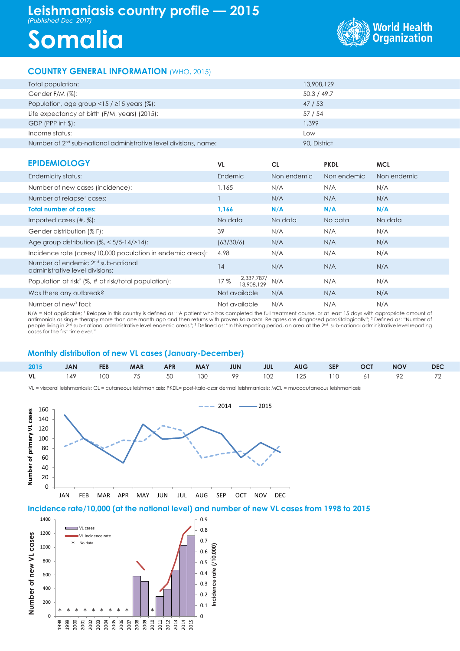# **Leishmaniasis country profile — 2015**

*(Published Dec. 2017)*

# **Somalia**



## **COUNTRY GENERAL INFORMATION** (WHO, 2015)

| Total population:                                                  | 13,908,129   |
|--------------------------------------------------------------------|--------------|
| Gender F/M (%):                                                    | 50.3 / 49.7  |
| Population, age group <15 / $\geq$ 15 years (%):                   | 47/53        |
| Life expectancy at birth (F/M, years) (2015):                      | 57 / 54      |
| $GDP$ (PPP int $\frac{1}{2}$ ):                                    | 1.399        |
| Income status:                                                     | Low          |
| Number of $2nd$ sub-national administrative level divisions, name: | 90. District |

| <b>PRINTINIAL AND</b> |  |  |
|-----------------------|--|--|

| <b>EPIDEMIOLOGY</b>                                                               | <b>VL</b>                       | <b>CL</b>   | <b>PKDL</b> | <b>MCL</b>  |
|-----------------------------------------------------------------------------------|---------------------------------|-------------|-------------|-------------|
| Endemicity status:                                                                | Endemic                         | Non endemic | Non endemic | Non endemic |
| Number of new cases (incidence):                                                  | 1.165                           | N/A         | N/A         | N/A         |
| Number of relapse <sup>1</sup> cases:                                             |                                 | N/A         | N/A         | N/A         |
| <b>Total number of cases:</b>                                                     | 1.166                           | N/A         | N/A         | N/A         |
| Imported cases $(\#, \%)$ :                                                       | No data                         | No data     | No data     | No data     |
| Gender distribution (% F):                                                        | 39                              | N/A         | N/A         | N/A         |
| Age group distribution $\frac{1}{6}$ < 5/5-14/>14):                               | (63/30/6)                       | N/A         | N/A         | N/A         |
| Incidence rate (cases/10,000 population in endemic areas):                        | 4.98                            | N/A         | N/A         | N/A         |
| Number of endemic 2 <sup>nd</sup> sub-national<br>administrative level divisions: | 14                              | N/A         | N/A         | N/A         |
| Population at risk <sup>2</sup> ( $\%$ , # at risk/total population):             | 2,337,787/<br>17%<br>13,908,129 | N/A         | N/A         | N/A         |
| Was there any outbreak?                                                           | Not available                   | N/A         | N/A         | N/A         |
| Number of new <sup>3</sup> foci:                                                  | Not available                   | N/A         | N/A         | N/A         |

N/A = Not applicable; <sup>1</sup> Relapse in this country is defined as: "A patient who has completed the full treatment course, or at least 15 days with appropriate amount of<br>antimonials as single therapy more than one month ago cases for the first time ever."

#### **Monthly distribution of new VL cases (January-December)**

|  |  |  |  |  | 2015 JAN FEB MAR APR MAY JUN JUL AUG SEP OCT NOV DEC |  |
|--|--|--|--|--|------------------------------------------------------|--|
|  |  |  |  |  | VL 149 100 75 50 130 99 102 125 110 61 92 72         |  |

VL = visceral leishmaniasis; CL = cutaneous leishmaniasis; PKDL= post-kala-azar dermal leishmaniasis; MCL = mucocutaneous leishmaniasis



**Incidence rate/10,000 (at the national level) and number of new VL cases from 1998 to 2015**